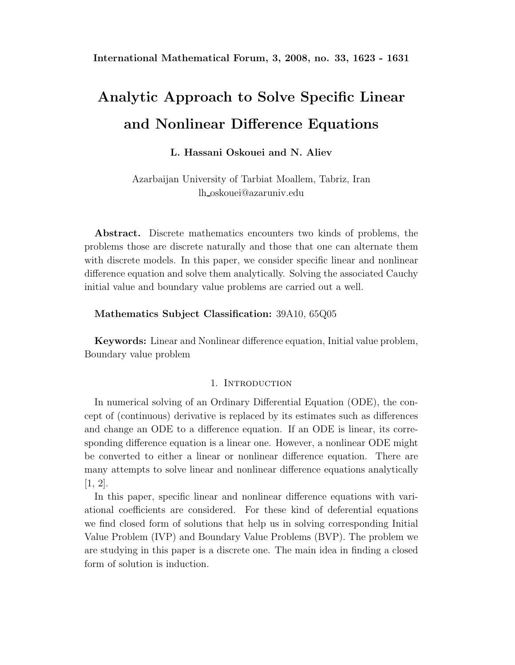# **Analytic Approach to Solve Specific Linear and Nonlinear Difference Equations**

## **L. Hassani Oskouei and N. Aliev**

Azarbaijan University of Tarbiat Moallem, Tabriz, Iran lh oskouei@azaruniv.edu

**Abstract.** Discrete mathematics encounters two kinds of problems, the problems those are discrete naturally and those that one can alternate them with discrete models. In this paper, we consider specific linear and nonlinear difference equation and solve them analytically. Solving the associated Cauchy initial value and boundary value problems are carried out a well.

### **Mathematics Subject Classification:** 39A10, 65Q05

**Keywords:** Linear and Nonlinear difference equation, Initial value problem, Boundary value problem

#### 1. INTRODUCTION

In numerical solving of an Ordinary Differential Equation (ODE), the concept of (continuous) derivative is replaced by its estimates such as differences and change an ODE to a difference equation. If an ODE is linear, its corresponding difference equation is a linear one. However, a nonlinear ODE might be converted to either a linear or nonlinear difference equation. There are many attempts to solve linear and nonlinear difference equations analytically [1, 2].

In this paper, specific linear and nonlinear difference equations with variational coefficients are considered. For these kind of deferential equations we find closed form of solutions that help us in solving corresponding Initial Value Problem (IVP) and Boundary Value Problems (BVP). The problem we are studying in this paper is a discrete one. The main idea in finding a closed form of solution is induction.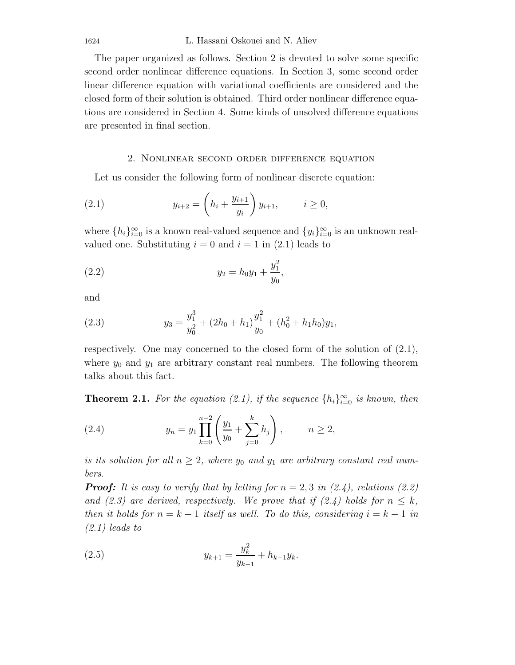The paper organized as follows. Section 2 is devoted to solve some specific second order nonlinear difference equations. In Section 3, some second order linear difference equation with variational coefficients are considered and the closed form of their solution is obtained. Third order nonlinear difference equations are considered in Section 4. Some kinds of unsolved difference equations are presented in final section.

#### 2. Nonlinear second order difference equation

Let us consider the following form of nonlinear discrete equation:

(2.1) 
$$
y_{i+2} = \left(h_i + \frac{y_{i+1}}{y_i}\right) y_{i+1}, \quad i \ge 0,
$$

where  $\{h_i\}_{i=0}^{\infty}$  is a known real-valued sequence and  $\{y_i\}_{i=0}^{\infty}$  is an unknown real-<br>valued and Substituting is a local is a lin (2.1) local is to valued one. Substituting  $i = 0$  and  $i = 1$  in (2.1) leads to

(2.2) 
$$
y_2 = h_0 y_1 + \frac{y_1^2}{y_0},
$$

and

(2.3) 
$$
y_3 = \frac{y_1^3}{y_0^2} + (2h_0 + h_1)\frac{y_1^2}{y_0} + (h_0^2 + h_1h_0)y_1,
$$

respectively. One may concerned to the closed form of the solution of (2.1), where  $y_0$  and  $y_1$  are arbitrary constant real numbers. The following theorem talks about this fact.

**Theorem 2.1.** *For the equation (2.1), if the sequence*  $\{h_i\}_{i=0}^{\infty}$  *is known, then* 

(2.4) 
$$
y_n = y_1 \prod_{k=0}^{n-2} \left( \frac{y_1}{y_0} + \sum_{j=0}^k h_j \right), \qquad n \ge 2,
$$

*is its solution for all*  $n \geq 2$ , where  $y_0$  and  $y_1$  are arbitrary constant real num*bers.*

*Proof:* It is easy to verify that by letting for  $n = 2, 3$  in (2.4), relations (2.2) *and (2.3) are derived, respectively. We prove that if (2.4) holds for*  $n \leq k$ , *then it holds for*  $n = k + 1$  *itself as well. To do this, considering*  $i = k - 1$  *in (2.1) leads to*

(2.5) 
$$
y_{k+1} = \frac{y_k^2}{y_{k-1}} + h_{k-1}y_k.
$$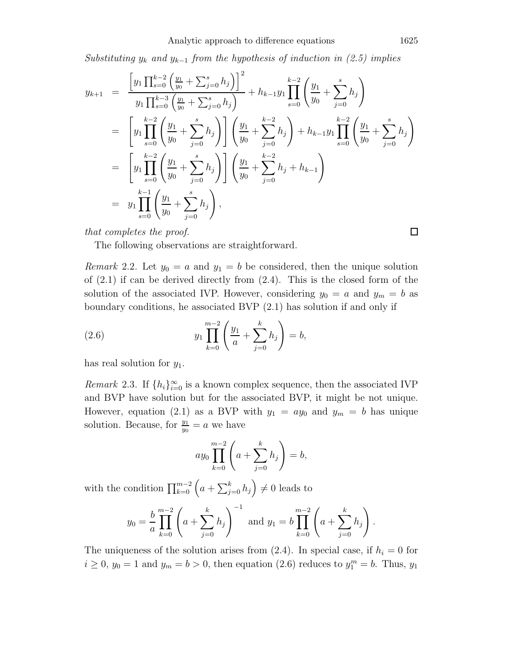*Substituting*  $y_k$  *and*  $y_{k-1}$  *from the hypothesis of induction in (2.5) implies* 

$$
y_{k+1} = \frac{\left[y_1 \prod_{s=0}^{k-2} \left(\frac{y_1}{y_0} + \sum_{j=0}^s h_j\right)\right]^2}{y_1 \prod_{s=0}^{k-3} \left(\frac{y_1}{y_0} + \sum_{j=0}^s h_j\right)} + h_{k-1}y_1 \prod_{s=0}^{k-2} \left(\frac{y_1}{y_0} + \sum_{j=0}^s h_j\right)
$$
  
\n
$$
= \left[y_1 \prod_{s=0}^{k-2} \left(\frac{y_1}{y_0} + \sum_{j=0}^s h_j\right)\right] \left(\frac{y_1}{y_0} + \sum_{j=0}^{k-2} h_j\right) + h_{k-1}y_1 \prod_{s=0}^{k-2} \left(\frac{y_1}{y_0} + \sum_{j=0}^s h_j\right)
$$
  
\n
$$
= \left[y_1 \prod_{s=0}^{k-2} \left(\frac{y_1}{y_0} + \sum_{j=0}^s h_j\right)\right] \left(\frac{y_1}{y_0} + \sum_{j=0}^{k-2} h_j + h_{k-1}\right)
$$
  
\n
$$
= y_1 \prod_{s=0}^{k-1} \left(\frac{y_1}{y_0} + \sum_{j=0}^s h_j\right),
$$

*that completes the proof.*

The following observations are straightforward.

*Remark* 2.2. Let  $y_0 = a$  and  $y_1 = b$  be considered, then the unique solution of (2.1) if can be derived directly from (2.4). This is the closed form of the solution of the associated IVP. However, considering  $y_0 = a$  and  $y_m = b$  as boundary conditions, he associated BVP (2.1) has solution if and only if

(2.6) 
$$
y_1 \prod_{k=0}^{m-2} \left( \frac{y_1}{a} + \sum_{j=0}^{k} h_j \right) = b,
$$

has real solution for  $y_1$ .

*Remark* 2.3. If  $\{h_i\}_{i=0}^{\infty}$  is a known complex sequence, then the associated IVP and BVD have solution but for the associated BVD it might be not unique. and BVP have solution but for the associated BVP, it might be not unique. However, equation (2.1) as a BVP with  $y_1 = ay_0$  and  $y_m = b$  has unique solution. Because, for  $\frac{y_1}{y_0} = a$  we have

$$
ay_0 \prod_{k=0}^{m-2} \left( a + \sum_{j=0}^{k} h_j \right) = b,
$$

with the condition  $\prod_{k=0}^{m-2} \left( a + \sum_{j=0}^{k} h_j \right)$  $\Big) \neq 0$  leads to

$$
y_0 = \frac{b}{a} \prod_{k=0}^{m-2} \left( a + \sum_{j=0}^k h_j \right)^{-1}
$$
 and  $y_1 = b \prod_{k=0}^{m-2} \left( a + \sum_{j=0}^k h_j \right)$ .

The uniqueness of the solution arises from  $(2.4)$ . In special case, if  $h_i = 0$  for  $i \geq 0$ ,  $y_0 = 1$  and  $y_m = b > 0$ , then equation (2.6) reduces to  $y_1^m = b$ . Thus,  $y_1$ 

 $\Box$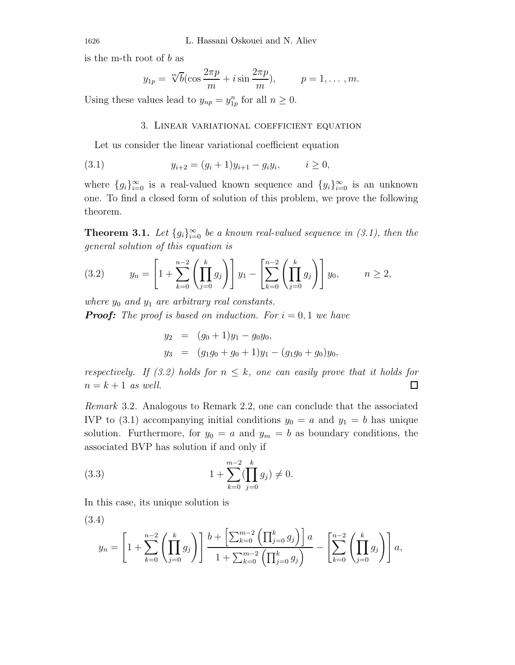is the m-th root of b as

$$
y_{1p} = \sqrt[m]{b} \left(\cos \frac{2\pi p}{m} + i \sin \frac{2\pi p}{m}\right), \qquad p = 1, \dots, m.
$$

Using these values lead to  $y_{np} = y_{1p}^n$  for all  $n \ge 0$ .

#### 3. Linear variational coefficient equation

Let us consider the linear variational coefficient equation

(3.1) 
$$
y_{i+2} = (g_i + 1)y_{i+1} - g_i y_i, \qquad i \ge 0,
$$

where  ${g_i}_{i=0}^\infty$  is a real-valued known sequence and  ${y_i}_{i=0}^\infty$  is an unknown one. To find a closed form of solution of this problem, we prove the following theorem.

**Theorem 3.1.** *Let*  ${g_i}_{i=0}^{\infty}$  *be a known real-valued sequence in (3.1), then the general solution of this equation is*

(3.2) 
$$
y_n = \left[1 + \sum_{k=0}^{n-2} \left(\prod_{j=0}^k g_j\right)\right] y_1 - \left[\sum_{k=0}^{n-2} \left(\prod_{j=0}^k g_j\right)\right] y_0, \qquad n \ge 2,
$$

*where*  $y_0$  *and*  $y_1$  *are arbitrary real constants.* 

*Proof: The proof is based on induction. For*  $i = 0, 1$  *we have* 

$$
y_2 = (g_0 + 1)y_1 - g_0y_0,
$$
  
\n
$$
y_3 = (g_1g_0 + g_0 + 1)y_1 - (g_1g_0 + g_0)y_0,
$$

*respectively. If (3.2) holds for*  $n \leq k$ *, one can easily prove that it holds for*  $n = k + 1$  *as well.*  $n = k + 1$  *as well.* 

*Remark* 3.2*.* Analogous to Remark 2.2, one can conclude that the associated IVP to (3.1) accompanying initial conditions  $y_0 = a$  and  $y_1 = b$  has unique solution. Furthermore, for  $y_0 = a$  and  $y_m = b$  as boundary conditions, the associated BVP has solution if and only if

(3.3) 
$$
1 + \sum_{k=0}^{m-2} (\prod_{j=0}^{k} g_j) \neq 0.
$$

In this case, its unique solution is

(3.4)  

$$
y_n = \left[1 + \sum_{k=0}^{n-2} \left(\prod_{j=0}^k g_j\right)\right] \frac{b + \left[\sum_{k=0}^{m-2} \left(\prod_{j=0}^k g_j\right)\right] a}{1 + \sum_{k=0}^{m-2} \left(\prod_{j=0}^k g_j\right)} - \left[\sum_{k=0}^{n-2} \left(\prod_{j=0}^k g_j\right)\right] a,
$$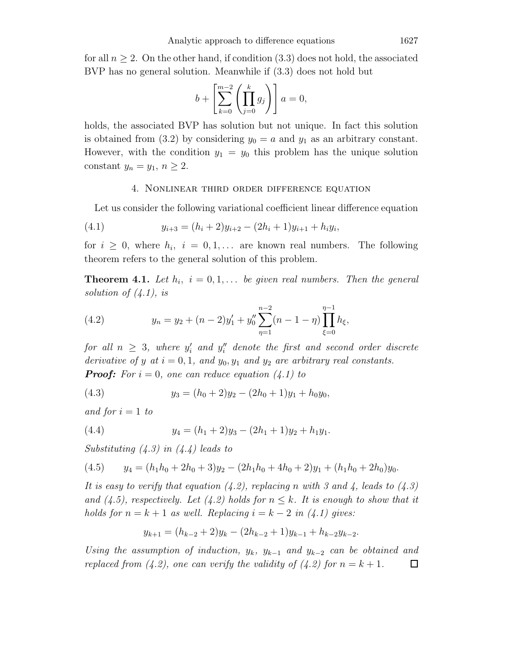for all  $n \geq 2$ . On the other hand, if condition (3.3) does not hold, the associated BVP has no general solution. Meanwhile if (3.3) does not hold but

$$
b + \left[\sum_{k=0}^{m-2} \left(\prod_{j=0}^k g_j\right)\right] a = 0,
$$

holds, the associated BVP has solution but not unique. In fact this solution is obtained from (3.2) by considering  $y_0 = a$  and  $y_1$  as an arbitrary constant. However, with the condition  $y_1 = y_0$  this problem has the unique solution constant  $y_n = y_1, n \geq 2$ .

#### 4. Nonlinear third order difference equation

Let us consider the following variational coefficient linear difference equation

(4.1) 
$$
y_{i+3} = (h_i + 2)y_{i+2} - (2h_i + 1)y_{i+1} + h_i y_i,
$$

for  $i \geq 0$ , where  $h_i$ ,  $i = 0, 1, \ldots$  are known real numbers. The following theorem refers to the general solution of this problem.

**Theorem 4.1.** Let  $h_i$ ,  $i = 0, 1, \ldots$  be given real numbers. Then the general *solution of (4.1), is*

(4.2) 
$$
y_n = y_2 + (n-2)y'_1 + y''_0 \sum_{\eta=1}^{n-2} (n-1-\eta) \prod_{\xi=0}^{\eta-1} h_{\xi},
$$

*for all*  $n \geq 3$ *, where*  $y_i'$  *and*  $y_i''$  *denote the first and second order discrete*<br>denoting of a st. 0.1 and y y and y are splittery real constants. *derivative of y at*  $i = 0, 1$ *, and*  $y_0, y_1$  *and*  $y_2$  *are arbitrary real constants. Proof: For*  $i = 0$ *, one can reduce equation*  $(4.1)$  *to* 

(4.3) 
$$
y_3 = (h_0 + 2)y_2 - (2h_0 + 1)y_1 + h_0y_0,
$$

*and for*  $i = 1$  *to* 

(4.4) 
$$
y_4 = (h_1 + 2)y_3 - (2h_1 + 1)y_2 + h_1y_1.
$$

*Substituting (4.3) in (4.4) leads to*

(4.5) 
$$
y_4 = (h_1h_0 + 2h_0 + 3)y_2 - (2h_1h_0 + 4h_0 + 2)y_1 + (h_1h_0 + 2h_0)y_0.
$$

*It is easy to verify that equation (4.2), replacing* n *with 3 and 4, leads to (4.3) and (4.5), respectively. Let (4.2) holds for*  $n \leq k$ *. It is enough to show that it holds for*  $n = k + 1$  *as well. Replacing*  $i = k - 2$  *in* (4.1) gives:

$$
y_{k+1} = (h_{k-2} + 2)y_k - (2h_{k-2} + 1)y_{k-1} + h_{k-2}y_{k-2}.
$$

*Using the assumption of induction,*  $y_k$ *,*  $y_{k-1}$  *and*  $y_{k-2}$  *can be obtained and replaced from* (4.2), *one can verify the validity of* (4.2) *for*  $n = k + 1$ . *replaced from (4.2), one can verify the validity of (4.2) for*  $n = k + 1$ *.*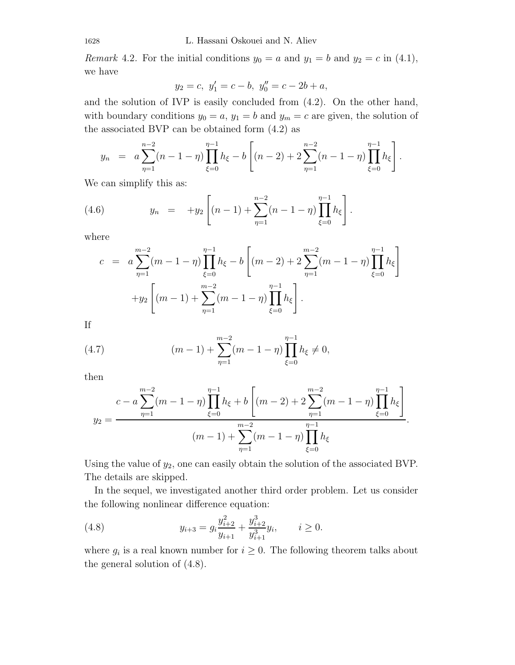*Remark* 4.2. For the initial conditions  $y_0 = a$  and  $y_1 = b$  and  $y_2 = c$  in (4.1), we have

$$
y_2 = c, y'_1 = c - b, y''_0 = c - 2b + a,
$$

and the solution of IVP is easily concluded from (4.2). On the other hand, with boundary conditions  $y_0 = a$ ,  $y_1 = b$  and  $y_m = c$  are given, the solution of the associated BVP can be obtained form (4.2) as

$$
y_n = a \sum_{\eta=1}^{n-2} (n-1-\eta) \prod_{\xi=0}^{\eta-1} h_{\xi} - b \left[ (n-2) + 2 \sum_{\eta=1}^{n-2} (n-1-\eta) \prod_{\xi=0}^{\eta-1} h_{\xi} \right].
$$

We can simplify this as:

(4.6) 
$$
y_n = +y_2 \left[ (n-1) + \sum_{\eta=1}^{n-2} (n-1-\eta) \prod_{\xi=0}^{\eta-1} h_{\xi} \right].
$$

where

$$
c = a \sum_{\eta=1}^{m-2} (m-1-\eta) \prod_{\xi=0}^{\eta-1} h_{\xi} - b \left[ (m-2) + 2 \sum_{\eta=1}^{m-2} (m-1-\eta) \prod_{\xi=0}^{\eta-1} h_{\xi} \right]
$$

$$
+ y_2 \left[ (m-1) + \sum_{\eta=1}^{m-2} (m-1-\eta) \prod_{\xi=0}^{\eta-1} h_{\xi} \right].
$$

If

(4.7) 
$$
(m-1) + \sum_{\eta=1}^{m-2} (m-1-\eta) \prod_{\xi=0}^{\eta-1} h_{\xi} \neq 0,
$$

then

$$
y_2 = \frac{c - a \sum_{\eta=1}^{m-2} (m - 1 - \eta) \prod_{\xi=0}^{\eta-1} h_{\xi} + b \left[ (m-2) + 2 \sum_{\eta=1}^{m-2} (m - 1 - \eta) \prod_{\xi=0}^{\eta-1} h_{\xi} \right]}{(m-1) + \sum_{\eta=1}^{m-2} (m - 1 - \eta) \prod_{\xi=0}^{\eta-1} h_{\xi}}.
$$

Using the value of  $y_2$ , one can easily obtain the solution of the associated BVP. The details are skipped.

In the sequel, we investigated another third order problem. Let us consider the following nonlinear difference equation:

(4.8) 
$$
y_{i+3} = g_i \frac{y_{i+2}^2}{y_{i+1}} + \frac{y_{i+2}^3}{y_{i+1}^3} y_i, \qquad i \ge 0.
$$

where  $g_i$  is a real known number for  $i \geq 0$ . The following theorem talks about the general solution of (4.8).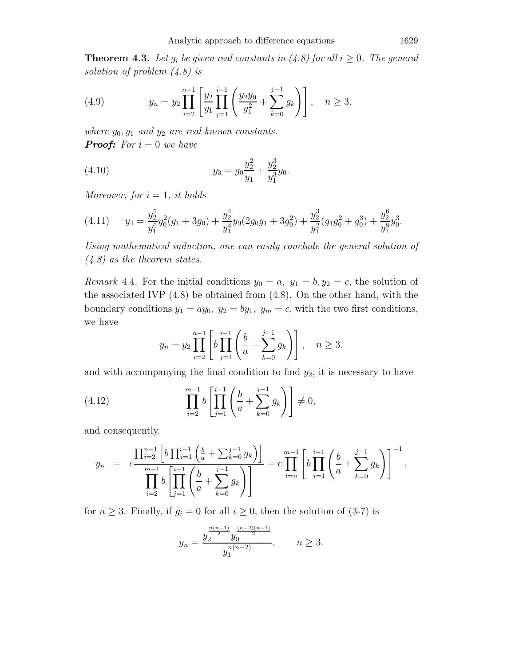**Theorem 4.3.** Let  $g_i$  be given real constants in (4.8) for all  $i \geq 0$ . The general *solution of problem (4.8) is*

(4.9) 
$$
y_n = y_2 \prod_{i=2}^{n-1} \left[ \frac{y_2}{y_1} \prod_{j=1}^{i-1} \left( \frac{y_2 y_0}{y_1^2} + \sum_{k=0}^{j-1} g_k \right) \right], \quad n \ge 3,
$$

*where*  $y_0, y_1$  *and*  $y_2$  *are real known constants. Proof: For*  $i = 0$  *we have* 

(4.10) 
$$
y_3 = g_0 \frac{y_2^2}{y_1} + \frac{y_2^3}{y_1^3} y_0.
$$

*Moreover, for*  $i = 1$ *, it holds* 

$$
(4.11) \t y_4 = \frac{y_2^5}{y_1^6} y_0^2 (g_1 + 3g_0) + \frac{y_2^4}{y_1^4} y_0 (2g_0 g_1 + 3g_0^2) + \frac{y_2^3}{y_1^2} (g_1 g_0^2 + g_0^3) + \frac{y_2^6}{y_1^8} y_0^3.
$$

*Using mathematical induction, one can easily conclude the general solution of (4.8) as the theorem states.*

*Remark* 4.4. For the initial conditions  $y_0 = a$ ,  $y_1 = b$ ,  $y_2 = c$ , the solution of the associated IVP (4.8) be obtained from (4.8). On the other hand, with the boundary conditions  $y_1 = ay_0$ ,  $y_2 = by_1$ ,  $y_m = c$ , with the two first conditions, we have

$$
y_n = y_2 \prod_{i=2}^{n-1} \left[ b \prod_{j=1}^{i-1} \left( \frac{b}{a} + \sum_{k=0}^{j-1} g_k \right) \right], \quad n \ge 3.
$$

and with accompanying the final condition to find  $y_2$ , it is necessary to have

(4.12) 
$$
\prod_{i=2}^{m-1} b\left[\prod_{j=1}^{i-1} \left(\frac{b}{a} + \sum_{k=0}^{j-1} g_k\right)\right] \neq 0,
$$

and consequently,

$$
y_n = c \frac{\prod_{i=2}^{n-1} \left[ b \prod_{j=1}^{i-1} \left( \frac{b}{a} + \sum_{k=0}^{j-1} g_k \right) \right]}{\prod_{i=2}^{m-1} b} = c \prod_{i=n}^{m-1} \left[ b \prod_{j=1}^{i-1} \left( \frac{b}{a} + \sum_{k=0}^{j-1} g_k \right) \right]^{-1},
$$

for  $n \geq 3$ . Finally, if  $g_i = 0$  for all  $i \geq 0$ , then the solution of (3-7) is

$$
y_n = \frac{y_2^{\frac{n(n-1)}{2}} y_0^{\frac{(n-2)(n-1)}{2}}}{y_1^{n(n-2)}}, \qquad n \ge 3.
$$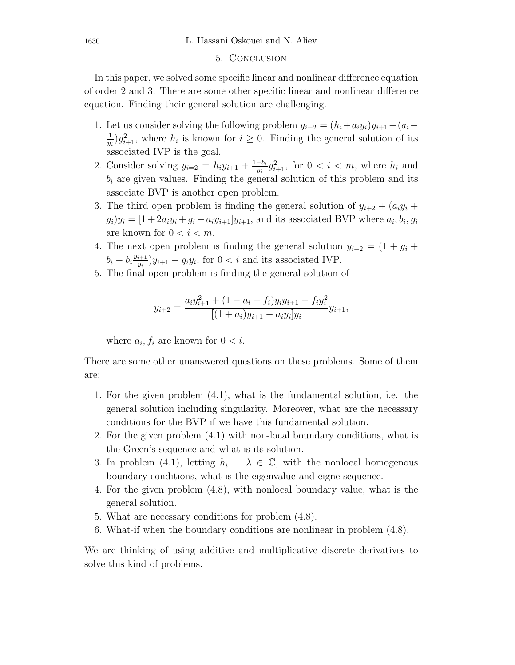#### 5. Conclusion

In this paper, we solved some specific linear and nonlinear difference equation of order 2 and 3. There are some other specific linear and nonlinear difference equation. Finding their general solution are challenging.

- 1. Let us consider solving the following problem  $y_{i+2} = (h_i + a_i y_i)y_{i+1} (a_i a_i)$  $\frac{1}{y_i}$ ) $y_{i+1}^2$ , where  $h_i$  is known for  $i \geq 0$ . Finding the general solution of its associated IVP is the goal.
- 2. Consider solving  $y_{i=2} = h_i y_{i+1} + \frac{1-b_i}{y_i} y_{i+1}^2$ , for  $0 < i < m$ , where  $h_i$  and  $h_i$  are given values. Finding the general solution of this problem and its  $b_i$  are given values. Finding the general solution of this problem and its associate BVP is another open problem.
- 3. The third open problem is finding the general solution of  $y_{i+2} + (a_i y_i + b_j)$  $g_i)y_i = [1 + 2a_iy_i + g_i - a_iy_{i+1}]y_{i+1}$ , and its associated BVP where  $a_i, b_i, g_i$ are known for  $0 < i < m$ .
- 4. The next open problem is finding the general solution  $y_{i+2} = (1 + g_i + g_j)$  $b_i - b_i \frac{y_{i+1}}{y_i} y_{i+1} - g_i y_i$ , for  $0 < i$  and its associated IVP.
- 5. The final open problem is finding the general solution of

$$
y_{i+2} = \frac{a_i y_{i+1}^2 + (1 - a_i + f_i) y_i y_{i+1} - f_i y_i^2}{[(1 + a_i) y_{i+1} - a_i y_i] y_i} y_{i+1},
$$

where  $a_i, f_i$  are known for  $0 < i$ .

There are some other unanswered questions on these problems. Some of them are:

- 1. For the given problem (4.1), what is the fundamental solution, i.e. the general solution including singularity. Moreover, what are the necessary conditions for the BVP if we have this fundamental solution.
- 2. For the given problem (4.1) with non-local boundary conditions, what is the Green's sequence and what is its solution.
- 3. In problem (4.1), letting  $h_i = \lambda \in \mathbb{C}$ , with the nonlocal homogenous boundary conditions, what is the eigenvalue and eigne-sequence.
- 4. For the given problem (4.8), with nonlocal boundary value, what is the general solution.
- 5. What are necessary conditions for problem (4.8).
- 6. What-if when the boundary conditions are nonlinear in problem (4.8).

We are thinking of using additive and multiplicative discrete derivatives to solve this kind of problems.